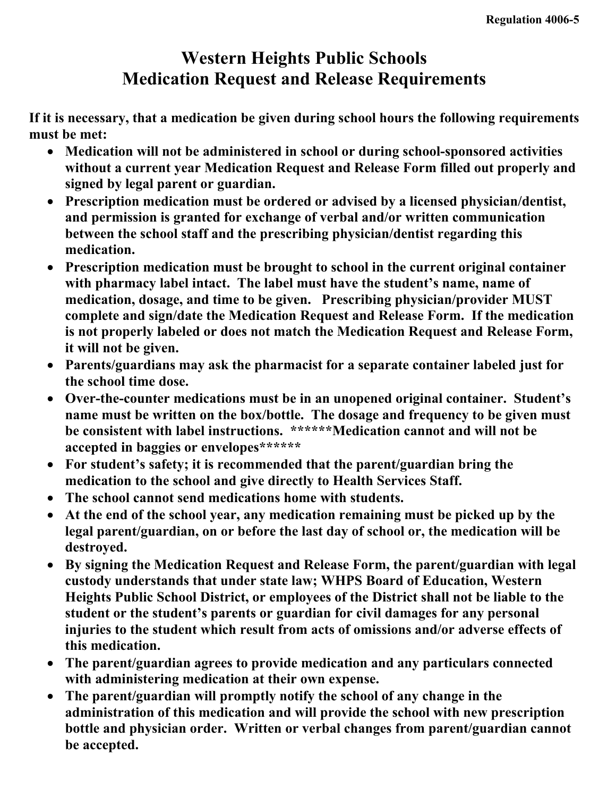## **Western Heights Public Schools Medication Request and Release Requirements**

**If it is necessary, that a medication be given during school hours the following requirements must be met:** 

- **Medication will not be administered in school or during school-sponsored activities without a current year Medication Request and Release Form filled out properly and signed by legal parent or guardian.**
- **Prescription medication must be ordered or advised by a licensed physician/dentist, and permission is granted for exchange of verbal and/or written communication between the school staff and the prescribing physician/dentist regarding this medication.**
- **Prescription medication must be brought to school in the current original container with pharmacy label intact. The label must have the student's name, name of medication, dosage, and time to be given. Prescribing physician/provider MUST complete and sign/date the Medication Request and Release Form. If the medication is not properly labeled or does not match the Medication Request and Release Form, it will not be given.**
- **Parents/guardians may ask the pharmacist for a separate container labeled just for the school time dose.**
- **Over-the-counter medications must be in an unopened original container. Student's name must be written on the box/bottle. The dosage and frequency to be given must be consistent with label instructions. \*\*\*\*\*\*Medication cannot and will not be accepted in baggies or envelopes\*\*\*\*\*\***
- **For student's safety; it is recommended that the parent/guardian bring the medication to the school and give directly to Health Services Staff.**
- **The school cannot send medications home with students.**
- **At the end of the school year, any medication remaining must be picked up by the legal parent/guardian, on or before the last day of school or, the medication will be destroyed.**
- **By signing the Medication Request and Release Form, the parent/guardian with legal custody understands that under state law; WHPS Board of Education, Western Heights Public School District, or employees of the District shall not be liable to the student or the student's parents or guardian for civil damages for any personal injuries to the student which result from acts of omissions and/or adverse effects of this medication.**
- **The parent/guardian agrees to provide medication and any particulars connected with administering medication at their own expense.**
- **The parent/guardian will promptly notify the school of any change in the administration of this medication and will provide the school with new prescription bottle and physician order. Written or verbal changes from parent/guardian cannot be accepted.**